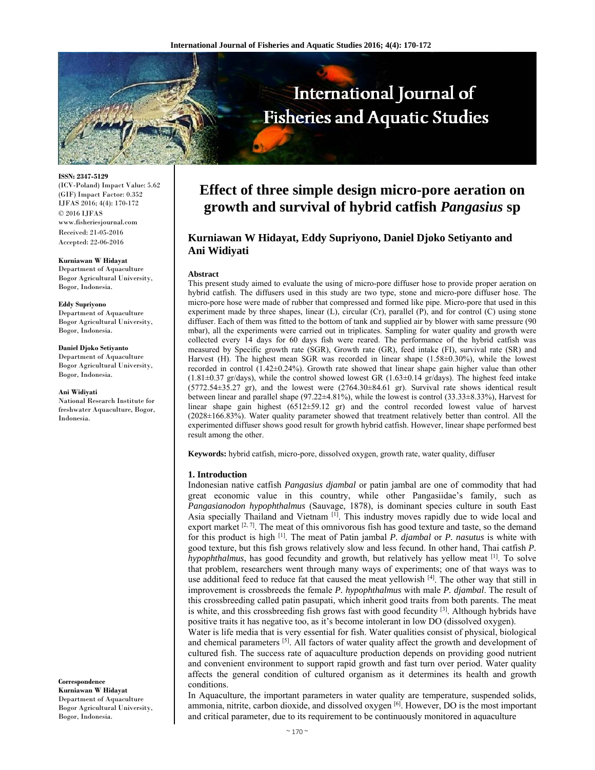

**ISSN: 2347-5129**  (ICV-Poland) Impact Value: 5.62 (GIF) Impact Factor: 0.352 IJFAS 2016; 4(4): 170-172 © 2016 IJFAS www.fisheriesjournal.com Received: 21-05-2016 Accepted: 22-06-2016

#### **Kurniawan W Hidayat**

Department of Aquaculture Bogor Agricultural University, Bogor, Indonesia.

#### **Eddy Supriyono**

Department of Aquaculture Bogor Agricultural University, Bogor, Indonesia.

**Daniel Djoko Setiyanto**  Department of Aquaculture Bogor Agricultural University, Bogor, Indonesia.

#### **Ani Widiyati**

National Research Institute for freshwater Aquaculture, Bogor, Indonesia.

**Correspondence Kurniawan W Hidayat**  Department of Aquaculture Bogor Agricultural University, Bogor, Indonesia.

# **Effect of three simple design micro-pore aeration on growth and survival of hybrid catfish** *Pangasius* **sp**

# **Kurniawan W Hidayat, Eddy Supriyono, Daniel Djoko Setiyanto and Ani Widiyati**

#### **Abstract**

This present study aimed to evaluate the using of micro-pore diffuser hose to provide proper aeration on hybrid catfish. The diffusers used in this study are two type, stone and micro-pore diffuser hose. The micro-pore hose were made of rubber that compressed and formed like pipe. Micro-pore that used in this experiment made by three shapes, linear (L), circular (Cr), parallel (P), and for control (C) using stone diffuser. Each of them was fitted to the bottom of tank and supplied air by blower with same pressure (90 mbar), all the experiments were carried out in triplicates. Sampling for water quality and growth were collected every 14 days for 60 days fish were reared. The performance of the hybrid catfish was measured by Specific growth rate (SGR), Growth rate (GR), feed intake (FI), survival rate (SR) and Harvest (H). The highest mean SGR was recorded in linear shape (1.58±0.30%), while the lowest recorded in control (1.42±0.24%). Growth rate showed that linear shape gain higher value than other  $(1.81\pm0.37 \text{ gr/day})$ , while the control showed lowest GR  $(1.63\pm0.14 \text{ gr/day})$ . The highest feed intake  $(5772.54\pm 35.27 \text{ gr})$ , and the lowest were  $(2764.30\pm 84.61 \text{ gr})$ . Survival rate shows identical result between linear and parallel shape (97.22±4.81%), while the lowest is control (33.33±8.33%), Harvest for linear shape gain highest (6512±59.12 gr) and the control recorded lowest value of harvest (2028±166.83%). Water quality parameter showed that treatment relatively better than control. All the experimented diffuser shows good result for growth hybrid catfish. However, linear shape performed best result among the other.

**Keywords:** hybrid catfish, micro-pore, dissolved oxygen, growth rate, water quality, diffuser

# **1. Introduction**

Indonesian native catfish *Pangasius djambal* or patin jambal are one of commodity that had great economic value in this country, while other Pangasiidae's family, such as *Pangasianodon hypophthalmus* (Sauvage, 1878), is dominant species culture in south East Asia specially Thailand and Vietnam [1]. This industry moves rapidly due to wide local and export market  $[2, 7]$ . The meat of this omnivorous fish has good texture and taste, so the demand for this product is high [1]. The meat of Patin jambal *P. djambal* or *P. nasutus* is white with good texture, but this fish grows relatively slow and less fecund. In other hand, Thai catfish *P. hypophthalmus*, has good fecundity and growth, but relatively has yellow meat <sup>[1]</sup>. To solve that problem, researchers went through many ways of experiments; one of that ways was to use additional feed to reduce fat that caused the meat yellowish  $[4]$ . The other way that still in improvement is crossbreeds the female *P. hypophthalmus* with male *P. djambal*. The result of this crossbreeding called patin pasupati, which inherit good traits from both parents. The meat is white, and this crossbreeding fish grows fast with good fecundity  $[3]$ . Although hybrids have positive traits it has negative too, as it's become intolerant in low DO (dissolved oxygen).

Water is life media that is very essential for fish. Water qualities consist of physical, biological and chemical parameters [5]. All factors of water quality affect the growth and development of cultured fish. The success rate of aquaculture production depends on providing good nutrient and convenient environment to support rapid growth and fast turn over period. Water quality affects the general condition of cultured organism as it determines its health and growth conditions.

In Aquaculture, the important parameters in water quality are temperature, suspended solids, ammonia, nitrite, carbon dioxide, and dissolved oxygen <sup>[6]</sup>. However, DO is the most important and critical parameter, due to its requirement to be continuously monitored in aquaculture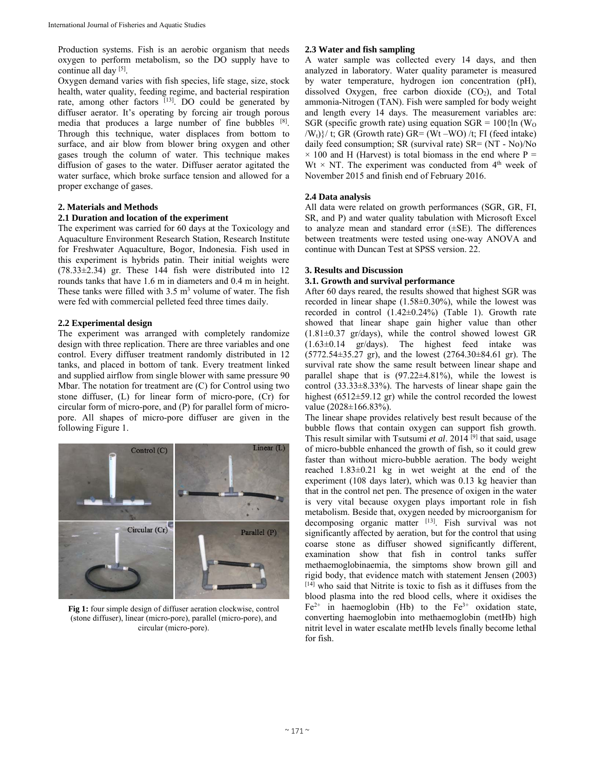Production systems. Fish is an aerobic organism that needs oxygen to perform metabolism, so the DO supply have to continue all day [5].

Oxygen demand varies with fish species, life stage, size, stock health, water quality, feeding regime, and bacterial respiration rate, among other factors [13]. DO could be generated by diffuser aerator. It's operating by forcing air trough porous media that produces a large number of fine bubbles [8]. Through this technique, water displaces from bottom to surface, and air blow from blower bring oxygen and other gases trough the column of water. This technique makes diffusion of gases to the water. Diffuser aerator agitated the water surface, which broke surface tension and allowed for a proper exchange of gases.

# **2. Materials and Methods**

# **2.1 Duration and location of the experiment**

The experiment was carried for 60 days at the Toxicology and Aquaculture Environment Research Station, Research Institute for Freshwater Aquaculture, Bogor, Indonesia. Fish used in this experiment is hybrids patin. Their initial weights were (78.33±2.34) gr. These 144 fish were distributed into 12 rounds tanks that have 1.6 m in diameters and 0.4 m in height. These tanks were filled with  $3.5 \text{ m}^3$  volume of water. The fish were fed with commercial pelleted feed three times daily.

# **2.2 Experimental design**

The experiment was arranged with completely randomize design with three replication. There are three variables and one control. Every diffuser treatment randomly distributed in 12 tanks, and placed in bottom of tank. Every treatment linked and supplied airflow from single blower with same pressure 90 Mbar. The notation for treatment are (C) for Control using two stone diffuser, (L) for linear form of micro-pore, (Cr) for circular form of micro-pore, and (P) for parallel form of micropore. All shapes of micro-pore diffuser are given in the following Figure 1.



**Fig 1:** four simple design of diffuser aeration clockwise, control (stone diffuser), linear (micro-pore), parallel (micro-pore), and circular (micro-pore).

# **2.3 Water and fish sampling**

A water sample was collected every 14 days, and then analyzed in laboratory. Water quality parameter is measured by water temperature, hydrogen ion concentration (pH), dissolved Oxygen, free carbon dioxide  $(CO<sub>2</sub>)$ , and Total ammonia-Nitrogen (TAN). Fish were sampled for body weight and length every 14 days. The measurement variables are: SGR (specific growth rate) using equation  $SGR = 100$  {ln (W<sub>O</sub>)  $\langle W_t \rangle$  (*t*; GR (Growth rate) GR= (Wt –WO) /t; FI (feed intake) daily feed consumption; SR (survival rate) SR= (NT - No)/No  $\times$  100 and H (Harvest) is total biomass in the end where P = Wt  $\times$  NT. The experiment was conducted from 4<sup>th</sup> week of November 2015 and finish end of February 2016.

# **2.4 Data analysis**

All data were related on growth performances (SGR, GR, FI, SR, and P) and water quality tabulation with Microsoft Excel to analyze mean and standard error  $(\pm SE)$ . The differences between treatments were tested using one-way ANOVA and continue with Duncan Test at SPSS version. 22.

# **3. Results and Discussion**

# **3.1. Growth and survival performance**

After 60 days reared, the results showed that highest SGR was recorded in linear shape (1.58±0.30%), while the lowest was recorded in control (1.42±0.24%) (Table 1). Growth rate showed that linear shape gain higher value than other  $(1.81\pm0.37 \text{ gr/day})$ , while the control showed lowest GR (1.63±0.14 gr/days). The highest feed intake was (5772.54±35.27 gr), and the lowest (2764.30±84.61 gr). The survival rate show the same result between linear shape and parallel shape that is  $(97.22 \pm 4.81\%)$ , while the lowest is control (33.33±8.33%). The harvests of linear shape gain the highest (6512±59.12 gr) while the control recorded the lowest value (2028±166.83%).

The linear shape provides relatively best result because of the bubble flows that contain oxygen can support fish growth. This result similar with Tsutsumi *et al*. 2014 [9] that said, usage of micro-bubble enhanced the growth of fish, so it could grew faster than without micro-bubble aeration. The body weight reached 1.83±0.21 kg in wet weight at the end of the experiment (108 days later), which was 0.13 kg heavier than that in the control net pen. The presence of oxigen in the water is very vital because oxygen plays important role in fish metabolism. Beside that, oxygen needed by microorganism for decomposing organic matter [13]. Fish survival was not significantly affected by aeration, but for the control that using coarse stone as diffuser showed significantly different, examination show that fish in control tanks suffer methaemoglobinaemia, the simptoms show brown gill and rigid body, that evidence match with statement Jensen (2003) [14] who said that Nitrite is toxic to fish as it diffuses from the blood plasma into the red blood cells, where it oxidises the  $Fe^{2+}$  in haemoglobin (Hb) to the  $Fe^{3+}$  oxidation state, converting haemoglobin into methaemoglobin (metHb) high nitrit level in water escalate metHb levels finally become lethal for fish.